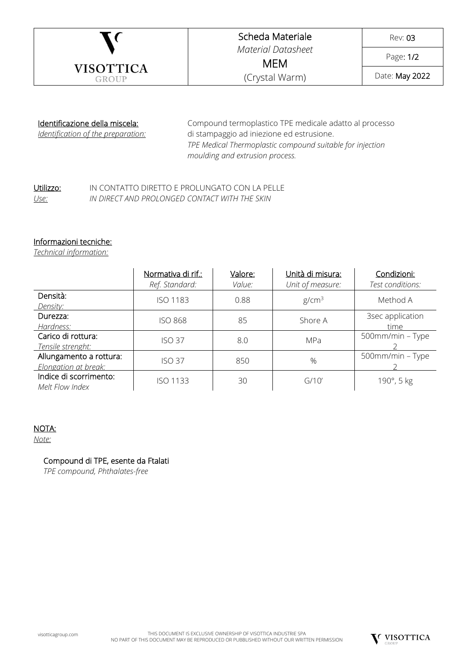

## Scheda Materiale *Material Datasheet*

Rev: 03

Page: 1/2

MEM (Crystal Warm)

Date: May 2022

## Identificazione della miscela:

*Identification of the preparation:*

Compound termoplastico TPE medicale adatto al processo di stampaggio ad iniezione ed estrusione. *TPE Medical Thermoplastic compound suitable for injection moulding and extrusion process.*

#### Utilizzo: IN CONTATTO DIRETTO E PROLUNGATO CON LA PELLE *Use: IN DIRECT AND PROLONGED CONTACT WITH THE SKIN*

## Informazioni tecniche:

*Technical information:*

|                                                 | <u>Normativa di rif.:</u><br>Ref. Standard: | Valore:<br>Value: | Unità di misura:<br>Unit of measure: | Condizioni:<br>Test conditions: |
|-------------------------------------------------|---------------------------------------------|-------------------|--------------------------------------|---------------------------------|
| Densità:<br>Density:                            | ISO 1183                                    | 0.88              | g/cm <sup>3</sup>                    | Method A                        |
| Durezza:<br>Hardness:                           | <b>ISO 868</b>                              | 85                | Shore A                              | 3sec application<br>time        |
| Carico di rottura:<br>Tensile strenght:         | <b>ISO 37</b>                               | 8.0               | MPa                                  | 500mm/min - Type                |
| Allungamento a rottura:<br>Elongation at break: | <b>ISO 37</b>                               | 850               | %                                    | 500mm/min - Type                |
| Indice di scorrimento:<br>Melt Flow Index       | <b>ISO 1133</b>                             | 30                | G/10'                                | 190°, 5 kg                      |

# NOTA:

*Note:*

## Compound di TPE, esente da Ftalati

*TPE compound, Phthalates-free*